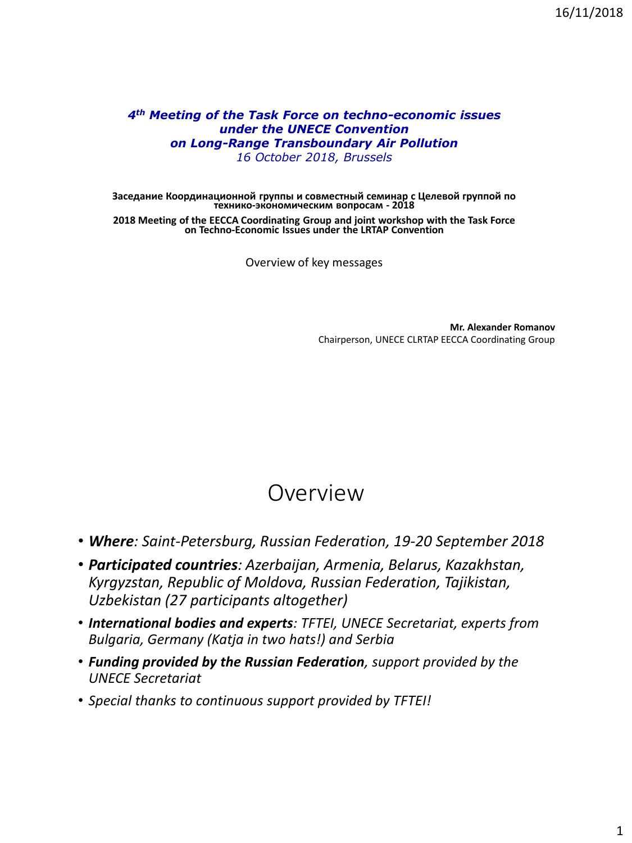#### *4th Meeting of the Task Force on techno-economic issues under the UNECE Convention on Long-Range Transboundary Air Pollution 16 October 2018, Brussels*

**Заседание Координационной группы и совместный семинар с Целевой группой по технико-экономическим вопросам - 2018**

**2018 Meeting of the EECCA Coordinating Group and joint workshop with the Task Force on Techno-Economic Issues under the LRTAP Convention**

Overview of key messages

**Mr. Alexander Romanov** Chairperson, UNECE CLRTAP EECCA Coordinating Group

#### Overview

- *Where: Saint-Petersburg, Russian Federation, 19-20 September 2018*
- *Participated countries: Azerbaijan, Armenia, Belarus, Kazakhstan, Kyrgyzstan, Republic of Moldova, Russian Federation, Tajikistan, Uzbekistan (27 participants altogether)*
- *International bodies and experts: TFTEI, UNECE Secretariat, experts from Bulgaria, Germany (Katja in two hats!) and Serbia*
- *Funding provided by the Russian Federation, support provided by the UNECE Secretariat*
- *Special thanks to continuous support provided by TFTEI!*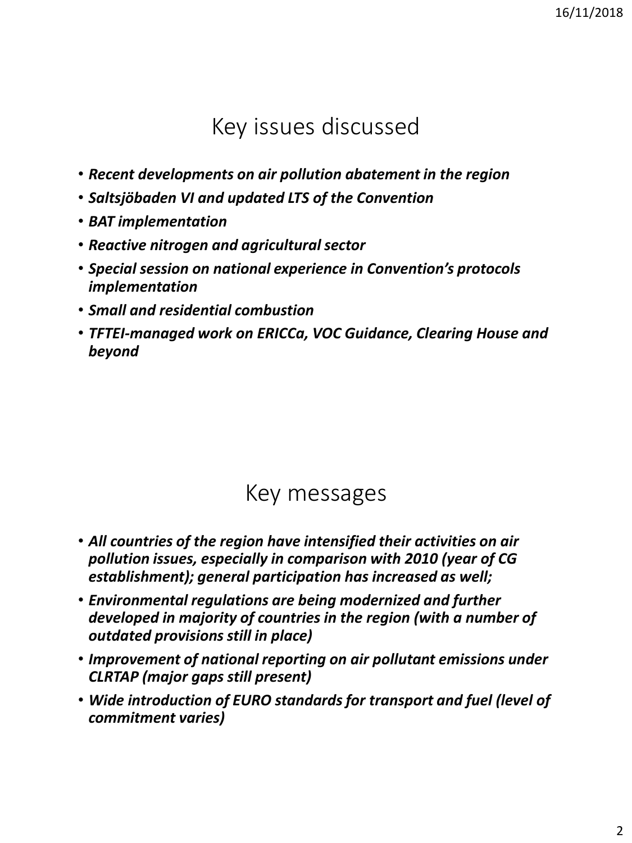## Key issues discussed

- *Recent developments on air pollution abatement in the region*
- *Saltsjöbaden VI and updated LTS of the Convention*
- *BAT implementation*
- *Reactive nitrogen and agricultural sector*
- *Special session on national experience in Convention's protocols implementation*
- *Small and residential combustion*
- *TFTEI-managed work on ERICCa, VOC Guidance, Clearing House and beyond*

## Key messages

- *All countries of the region have intensified their activities on air pollution issues, especially in comparison with 2010 (year of CG establishment); general participation has increased as well;*
- *Environmental regulations are being modernized and further developed in majority of countries in the region (with a number of outdated provisions still in place)*
- *Improvement of national reporting on air pollutant emissions under CLRTAP (major gaps still present)*
- *Wide introduction of EURO standards for transport and fuel (level of commitment varies)*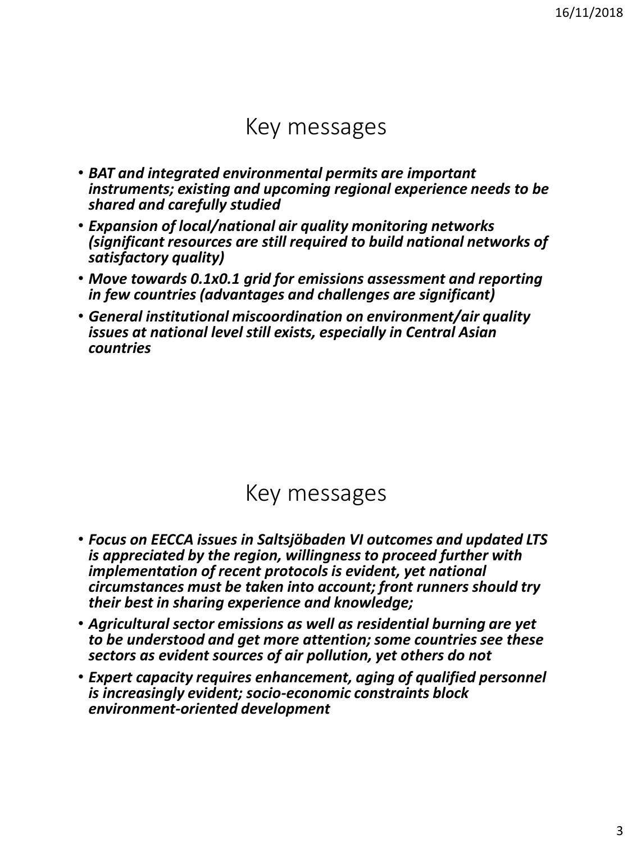#### Key messages

- *BAT and integrated environmental permits are important instruments; existing and upcoming regional experience needs to be shared and carefully studied*
- *Expansion of local/national air quality monitoring networks (significant resources are still required to build national networks of satisfactory quality)*
- *Move towards 0.1x0.1 grid for emissions assessment and reporting in few countries (advantages and challenges are significant)*
- *General institutional miscoordination on environment/air quality issues at national level still exists, especially in Central Asian countries*

#### Key messages

- *Focus on EECCA issues in Saltsjöbaden VI outcomes and updated LTS is appreciated by the region, willingness to proceed further with implementation of recent protocols is evident, yet national circumstances must be taken into account; front runners should try their best in sharing experience and knowledge;*
- *Agricultural sector emissions as well as residential burning are yet to be understood and get more attention; some countries see these sectors as evident sources of air pollution, yet others do not*
- *Expert capacity requires enhancement, aging of qualified personnel is increasingly evident; socio-economic constraints block environment-oriented development*